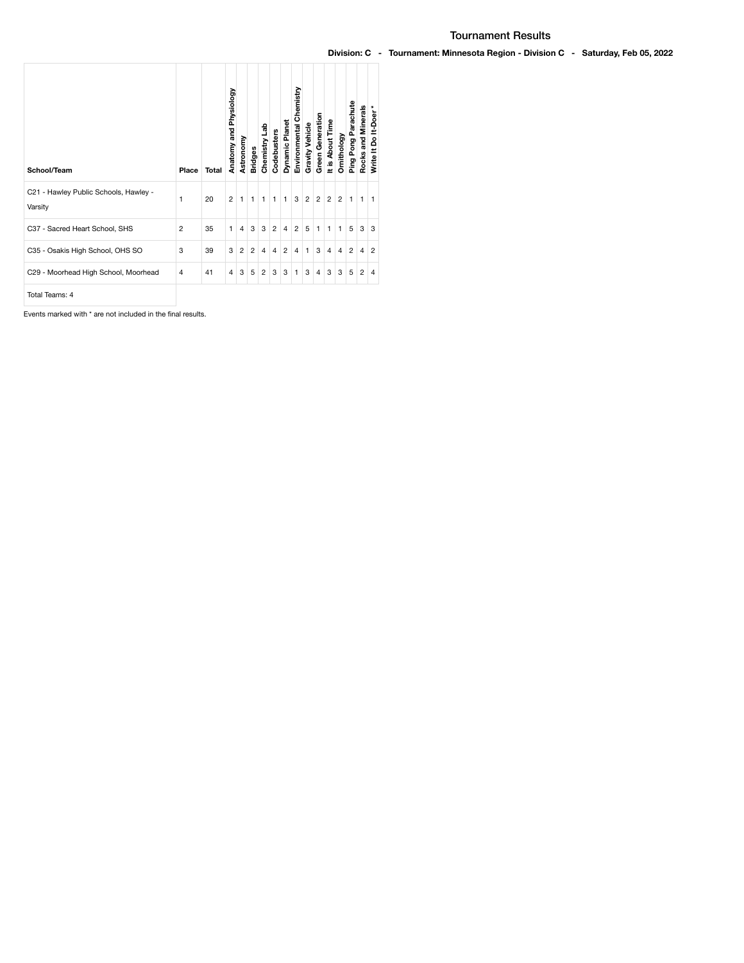| School/Team                                      | Place          | Total | Anatomy and Physiology | Astronomy      | <b>Bridges</b> | Chemistry Lab | Codebusters    | Dynamic Planet | Environmental Chemistry | Gravity Vehicle | Green Generation | It is About Time | Ornithology    | Ping Pong Parachute | Rocks and Minerals | Write It Do It-Doer * |
|--------------------------------------------------|----------------|-------|------------------------|----------------|----------------|---------------|----------------|----------------|-------------------------|-----------------|------------------|------------------|----------------|---------------------|--------------------|-----------------------|
| C21 - Hawley Public Schools, Hawley -<br>Varsity | 1              | 20    | $\overline{2}$         | 1              | $\mathbf{1}$   | $\mathbf{1}$  | 1              | $\mathbf{1}$   | 3                       | $\overline{2}$  | $\overline{2}$   | $\overline{c}$   | $\overline{2}$ | 1                   | 1                  | 1                     |
| C37 - Sacred Heart School, SHS                   | $\overline{2}$ | 35    | 1                      | $\overline{4}$ | 3              | 3             | $\overline{2}$ | $\overline{4}$ | $\overline{2}$          | 5               | $\mathbf{1}$     | $\mathbf{1}$     | $\mathbf{1}$   | 5                   | 3                  | 3                     |
| C35 - Osakis High School, OHS SO                 | 3              | 39    | 3                      | $\overline{2}$ | $\overline{2}$ | 4             | 4              | $\overline{2}$ | 4                       | 1               | 3                | $\overline{4}$   | 4              | $\overline{2}$      | $\overline{4}$     | $\overline{2}$        |
| C29 - Moorhead High School, Moorhead             | 4              | 41    | 4                      | 3              | 5              | 2             | 3              | 3              | 1                       | 3               | $\overline{4}$   | 3                | 3              | 5                   | $\overline{c}$     | $\overline{4}$        |
|                                                  |                |       |                        |                |                |               |                |                |                         |                 |                  |                  |                |                     |                    |                       |

Total Teams: 4

Events marked with \* are not included in the final results.